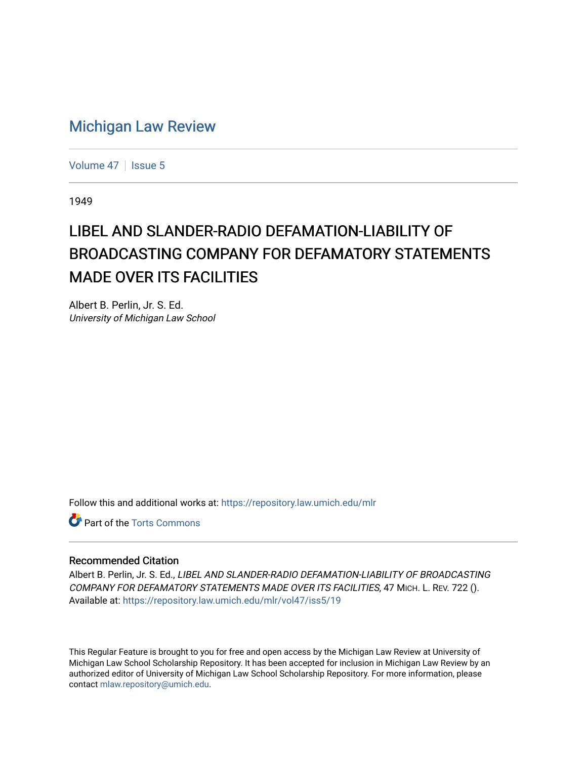## [Michigan Law Review](https://repository.law.umich.edu/mlr)

[Volume 47](https://repository.law.umich.edu/mlr/vol47) | [Issue 5](https://repository.law.umich.edu/mlr/vol47/iss5)

1949

## LIBEL AND SLANDER-RADIO DEFAMATION-LIABILITY OF BROADCASTING COMPANY FOR DEFAMATORY STATEMENTS MADE OVER ITS FACILITIES

Albert B. Perlin, Jr. S. Ed. University of Michigan Law School

Follow this and additional works at: [https://repository.law.umich.edu/mlr](https://repository.law.umich.edu/mlr?utm_source=repository.law.umich.edu%2Fmlr%2Fvol47%2Fiss5%2F19&utm_medium=PDF&utm_campaign=PDFCoverPages) 

**C** Part of the [Torts Commons](http://network.bepress.com/hgg/discipline/913?utm_source=repository.law.umich.edu%2Fmlr%2Fvol47%2Fiss5%2F19&utm_medium=PDF&utm_campaign=PDFCoverPages)

## Recommended Citation

Albert B. Perlin, Jr. S. Ed., LIBEL AND SLANDER-RADIO DEFAMATION-LIABILITY OF BROADCASTING COMPANY FOR DEFAMATORY STATEMENTS MADE OVER ITS FACILITIES, 47 MICH. L. REV. 722 (). Available at: [https://repository.law.umich.edu/mlr/vol47/iss5/19](https://repository.law.umich.edu/mlr/vol47/iss5/19?utm_source=repository.law.umich.edu%2Fmlr%2Fvol47%2Fiss5%2F19&utm_medium=PDF&utm_campaign=PDFCoverPages) 

This Regular Feature is brought to you for free and open access by the Michigan Law Review at University of Michigan Law School Scholarship Repository. It has been accepted for inclusion in Michigan Law Review by an authorized editor of University of Michigan Law School Scholarship Repository. For more information, please contact [mlaw.repository@umich.edu](mailto:mlaw.repository@umich.edu).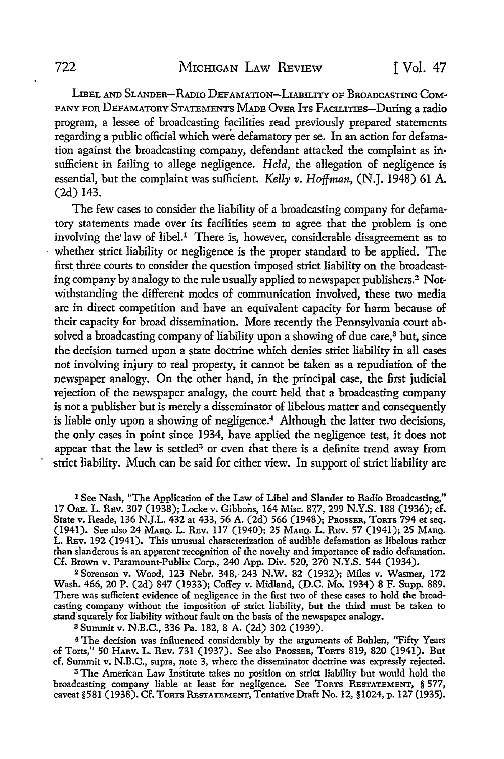LIBET. AND SLANDER-RADIO DEFAMATION-LIABILITY OF BROADCASTING COM-PANY FOR DEFAMATORY STATEMENTS MADE OvER ITs FACILITIES-During a radio program, a lessee of broadcasting facilities read previously prepared statements regarding a public official which were defamatory per se. In an action for defamation against the broadcasting company, defendant attacked the complaint as insufficient in failing to allege negligence. *Held,* the allegation of negligence is essential, but the complaint was sufficient. *Kelly v. Hoffman,* (N.J. 1948) 61 A. (2d) 143.

The few cases to consider the liability of a broadcasting company for defamatory statements made over its facilities seem to agree that the problem is one involving the law of libel.<sup>1</sup> There is, however, considerable disagreement as to whether strict liability or negligence is the proper standard to be applied. The first three courts to consider the question imposed strict liability on the broadcasting company by analogy to the rule usually applied to newspaper publishers.2 Notwithstanding the different modes of communication involved, these two media are in direct competition and have an equivalent capacity for harm because of their capacity for broad dissemination. More recently the Pennsylvania court absolved a broadcasting company of liability upon a showing of due care,<sup>3</sup> but, since the decision turned upon a state doctrine which denies strict liability in all cases not involving injury to real property, it cannot be taken as a repudiation of the newspaper analogy. On the other hand, in the principal case, the first judicial rejection of the newspaper analogy, the court held that a broadcasting company is not a publisher but is merely a disseminator of libelous matter and consequently is liable only upon a showing of negligence.<sup>4</sup> Although the latter two decisions, the only cases in point since 1934, have applied the negligence test, it does not appear that the law is settled<sup>3</sup> or even that there is a definite trend away from strict liability. Much can be said for either view. In support of strict liability are

1 See Nash, "The Application of the Law of Libel and Slander to Radio Broadcasting,'' 17 ORE. L. REV. 307 (1938); Locke v. Gibbons, 164 Misc. 87.7, 299 **N.Y.S.** 188 (1936); cf. State v. Reade, 136 N.J.L. 432 at 433, 56 A. (2d) 566 (1948); PROSSER, ToRTS 794 et seq. (1941). See also 24 MARQ. L. REv. 117 (1940); 25 MARQ. L. REv. 57 (1941); 25 MARQ. L. REv. 192 (1941). This unusual characterization of audible defamation as libelous rather than slanderous is an apparent recognition of the novelty and importance of radio defamation. Cf. Brown v. Paramount-Publix Corp., 240 App. Div. 520, 270 N.Y.S. 544 (1934).

2Sorenson v. Wood, 123 Nebr. 348,243 N.W. 82 (1932); Miles v. Wasmer, 172 Wash. 466, 20 P. (2d) 847 (1933); Coffey v. Midland, (D.C. Mo. 1934) 8 F. Supp. 889. There was sufficient evidence of negligence in the first two of these cases to hold the broadcasting company without the imposition of strict liability, but the third must be taken to stand"squarely for liability without fault on the basis of the newspaper analogy.

<sup>3</sup>Summit v. N.B.C., 336 Pa. 182, 8 A. (2d) 302 (1939).

<sup>4</sup>The decision was influenced considerably by the arguments of Bohlen, ''Fifty Years of Torts," 50 HARV. L. REv. 731 (1937). See also PRossER, ToRTS 819, 820 (1941). But cf. Summit v. N.B.C., supra, note 3, where the disseminator doctrine was expressly rejected.

<sup>5</sup> The American Law Institute takes no position on strict liability but would hold the broadcasting company liable at least for negligence. See ToRTS RESTATEMENT, § 577, caveat §581 (1938). Cf. ToRTS RESTATEMENT, Tentative Draft No. 12, §1024, p. 127 (1935).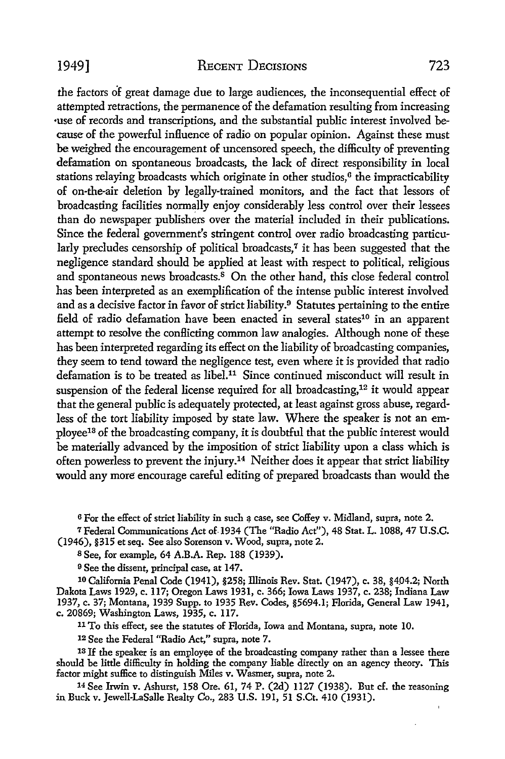the factors of great damage due to large audiences, the inconsequential effect of attempted retractions, the permanence of the defamation resulting from increasing •use of records and transcriptions, and the substantial public interest involved because of the powerful influence of radio on popular opinion. Against these must be weighed the encouragement of uncensored speech, the difficulty of preventing defamation on spontaneous broadcasts, the lack of direct responsibility in local stations relaying broadcasts which originate in other studios,<sup>6</sup> the impracticability of on-the-air deletion by legally-trained monitors, and the fact that lessors of broadcasting facilities normally enjoy considerably less control over their lessees than do newspaper publishers over the material included in their publications. Since the federal government's stringent control over radio broadcasting particularly precludes censorship of political broadcasts,<sup>7</sup> it has been suggested that the negligence standard should be applied at least with respect to political, religious and spontaneous news broadcasts.<sup>8</sup> On the other hand, this close federal control has been interpreted as an exemplification of the intense public interest involved and as a decisive factor in favor of strict liability.<sup>9</sup> Statutes pertaining to the entire field of radio defamation have been enacted in several states<sup>10</sup> in an apparent attempt to resolve the conflicting common law analogies. Although none of these has been interpreted regarding its effect on the liability of broadcasting companies, they seem to tend toward the negligence test, even where it is provided that radio defamation is to be treated as libel.11 Since continued misconduct will result in suspension of the federal license required for all broadcasting, 12 it would appear that the general public is adequately protected, at least against gross abuse, regardless of the tort liability imposed by state law. Where the speaker is not an employee13 of the broadcasting company, it is doubtful that the public interest would be materially advanced by the imposition of strict liability upon a class which is often powerless to prevent the injury.<sup>14</sup> Neither does it appear that strict liability would any more encourage careful editing of prepared broadcasts than would the

<sup>6</sup> For the effect of strict liability in such a case, see Coffey v. Midland, supra, note 2.

<sup>7</sup>Federal Communications Act of.1934 (The "Radio Act"), 48 Stat. L. 1088, 47 U.S.C. (1946), §315 et seq. See also Sorenson v. Wood, supra, note 2.

8 See, for example, 64 A.B.A. Rep. 188 (1939).

9 See the dissent, principal case, at 147.

10 California Penal Code (1941), §258; Illinois Rev. Stat. (1947), c. 38, §404.2; North Dakota Laws 1929, c. 117; Oregon Laws 1931, c. 366; Iowa Laws 1937, c. 238; Indiana Law 1937, c. 37; Montana, 1939 Supp. to 1935 Rev. Codes, §5694.1; Florida, General Law 1941, c. 20869; Washington Laws, 1935, c. 117.

11 To this effect, see the statutes of Florida, Iowa and Montana, supra, note 10.

12 See the Federal "Radio Act," supra, note 7.

13 If the speaker is an employee of the broadcasting company rather than a lessee there should be little difficulty in holding the company liable directly on an agency theory. This factor might suffice to distinguish Miles v. Wasmer, supra, note 2.

14 See Irwin v. Ashurst, 158 Ore. 61, 74 P. (2d) 1127 (1938). But cf. the reasoning in Buck v. Jewell-LaSalle Realty Co., 283 U.S. 191, 51 S.Ct. 410 (1931).